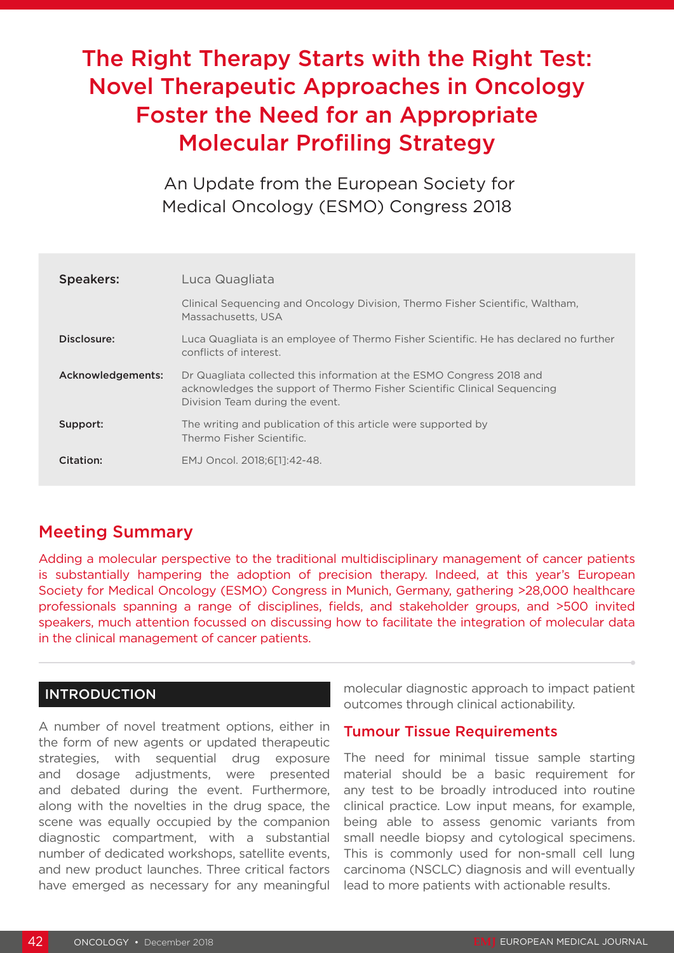# The Right Therapy Starts with the Right Test: Novel Therapeutic Approaches in Oncology Foster the Need for an Appropriate Molecular Profiling Strategy

 An Update from the European Society for Medical Oncology (ESMO) Congress 2018

| <b>Speakers:</b>  | Luca Quagliata                                                                                                                                                                       |
|-------------------|--------------------------------------------------------------------------------------------------------------------------------------------------------------------------------------|
|                   | Clinical Sequencing and Oncology Division, Thermo Fisher Scientific, Waltham,<br>Massachusetts, USA                                                                                  |
| Disclosure:       | Luca Quagliata is an employee of Thermo Fisher Scientific. He has declared no further<br>conflicts of interest.                                                                      |
| Acknowledgements: | Dr Quagliata collected this information at the ESMO Congress 2018 and<br>acknowledges the support of Thermo Fisher Scientific Clinical Sequencing<br>Division Team during the event. |
| Support:          | The writing and publication of this article were supported by<br>Thermo Fisher Scientific.                                                                                           |
| Citation:         | EMJ Oncol. 2018:6[11:42-48.                                                                                                                                                          |

## Meeting Summary

Adding a molecular perspective to the traditional multidisciplinary management of cancer patients is substantially hampering the adoption of precision therapy. Indeed, at this year's European Society for Medical Oncology (ESMO) Congress in Munich, Germany, gathering >28,000 healthcare professionals spanning a range of disciplines, fields, and stakeholder groups, and >500 invited speakers, much attention focussed on discussing how to facilitate the integration of molecular data in the clinical management of cancer patients.

### INTRODUCTION

A number of novel treatment options, either in the form of new agents or updated therapeutic strategies, with sequential drug exposure and dosage adjustments, were presented and debated during the event. Furthermore, along with the novelties in the drug space, the scene was equally occupied by the companion diagnostic compartment, with a substantial number of dedicated workshops, satellite events, and new product launches. Three critical factors have emerged as necessary for any meaningful

molecular diagnostic approach to impact patient outcomes through clinical actionability.

### Tumour Tissue Requirements

The need for minimal tissue sample starting material should be a basic requirement for any test to be broadly introduced into routine clinical practice. Low input means, for example, being able to assess genomic variants from small needle biopsy and cytological specimens. This is commonly used for non-small cell lung carcinoma (NSCLC) diagnosis and will eventually lead to more patients with actionable results.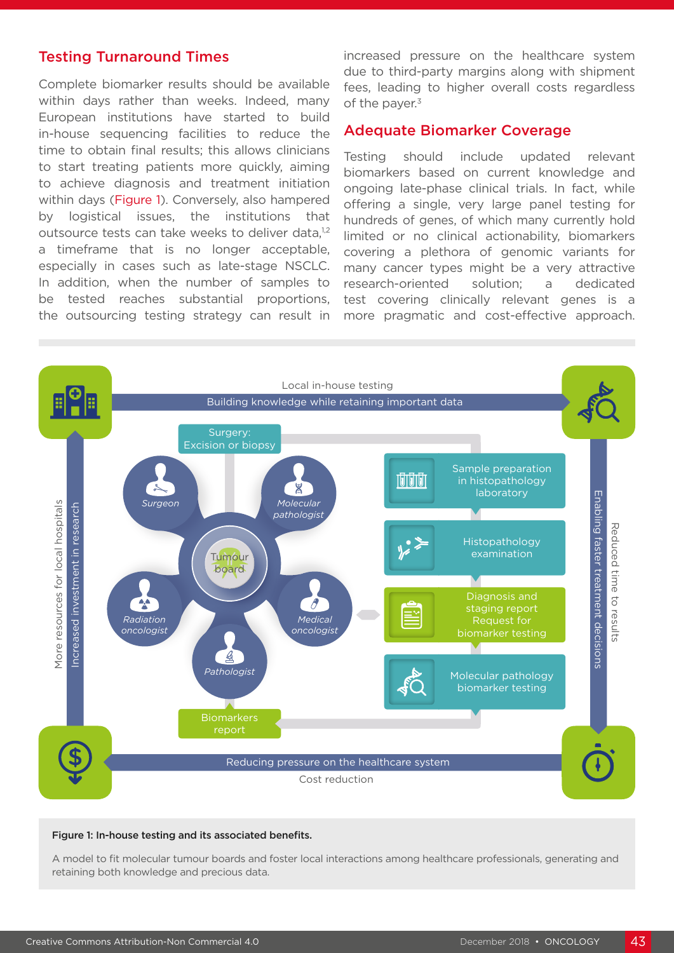#### Testing Turnaround Times

Complete biomarker results should be available within days rather than weeks. Indeed, many European institutions have started to build in-house sequencing facilities to reduce the time to obtain final results; this allows clinicians to start treating patients more quickly, aiming to achieve diagnosis and treatment initiation within days (Figure 1). Conversely, also hampered by logistical issues, the institutions that outsource tests can take weeks to deliver data.<sup>1,2</sup> a timeframe that is no longer acceptable, especially in cases such as late-stage NSCLC. In addition, when the number of samples to be tested reaches substantial proportions, the outsourcing testing strategy can result in increased pressure on the healthcare system due to third-party margins along with shipment fees, leading to higher overall costs regardless of the payer.<sup>3</sup>

#### Adequate Biomarker Coverage

Testing should include updated relevant biomarkers based on current knowledge and ongoing late-phase clinical trials. In fact, while offering a single, very large panel testing for hundreds of genes, of which many currently hold limited or no clinical actionability, biomarkers covering a plethora of genomic variants for many cancer types might be a very attractive research-oriented solution; a dedicated test covering clinically relevant genes is a more pragmatic and cost-effective approach.



#### Figure 1: In-house testing and its associated benefits.

A model to fit molecular tumour boards and foster local interactions among healthcare professionals, generating and retaining both knowledge and precious data.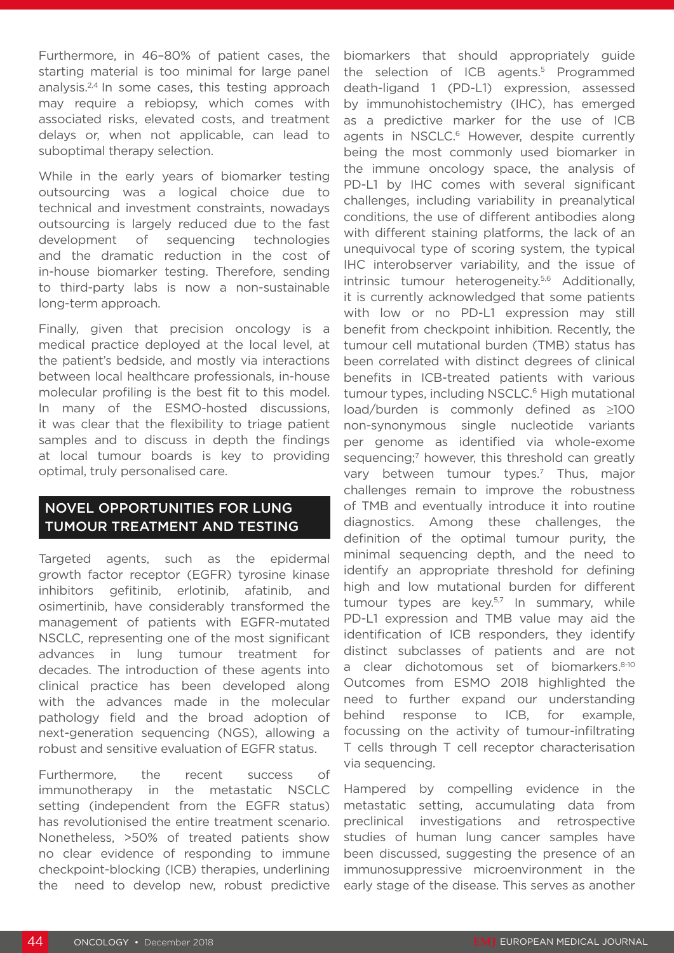Furthermore, in 46–80% of patient cases, the starting material is too minimal for large panel analysis.<sup>2,4</sup> In some cases, this testing approach may require a rebiopsy, which comes with associated risks, elevated costs, and treatment delays or, when not applicable, can lead to suboptimal therapy selection.

While in the early years of biomarker testing outsourcing was a logical choice due to technical and investment constraints, nowadays outsourcing is largely reduced due to the fast development of sequencing technologies and the dramatic reduction in the cost of in-house biomarker testing. Therefore, sending to third-party labs is now a non-sustainable long-term approach.

Finally, given that precision oncology is a medical practice deployed at the local level, at the patient's bedside, and mostly via interactions between local healthcare professionals, in-house molecular profiling is the best fit to this model. In many of the ESMO-hosted discussions, it was clear that the flexibility to triage patient samples and to discuss in depth the findings at local tumour boards is key to providing optimal, truly personalised care.

### NOVEL OPPORTUNITIES FOR LUNG TUMOUR TREATMENT AND TESTING

Targeted agents, such as the epidermal growth factor receptor (EGFR) tyrosine kinase inhibitors gefitinib, erlotinib, afatinib, and osimertinib, have considerably transformed the management of patients with EGFR-mutated NSCLC, representing one of the most significant advances in lung tumour treatment for decades. The introduction of these agents into clinical practice has been developed along with the advances made in the molecular pathology field and the broad adoption of next-generation sequencing (NGS), allowing a robust and sensitive evaluation of EGFR status.

Furthermore, the recent success of immunotherapy in the metastatic NSCLC setting (independent from the EGFR status) has revolutionised the entire treatment scenario. Nonetheless, >50% of treated patients show no clear evidence of responding to immune checkpoint-blocking (ICB) therapies, underlining the need to develop new, robust predictive

biomarkers that should appropriately guide the selection of ICB agents.<sup>5</sup> Programmed death-ligand 1 (PD-L1) expression, assessed by immunohistochemistry (IHC), has emerged as a predictive marker for the use of ICB agents in NSCLC.<sup>6</sup> However, despite currently being the most commonly used biomarker in the immune oncology space, the analysis of PD-L1 by IHC comes with several significant challenges, including variability in preanalytical conditions, the use of different antibodies along with different staining platforms, the lack of an unequivocal type of scoring system, the typical IHC interobserver variability, and the issue of intrinsic tumour heterogeneity.<sup>5,6</sup> Additionally, it is currently acknowledged that some patients with low or no PD-L1 expression may still benefit from checkpoint inhibition. Recently, the tumour cell mutational burden (TMB) status has been correlated with distinct degrees of clinical benefits in ICB-treated patients with various tumour types, including NSCLC.<sup>6</sup> High mutational load/burden is commonly defined as ≥100 non-synonymous single nucleotide variants per genome as identified via whole-exome sequencing;<sup>7</sup> however, this threshold can greatly vary between tumour types.<sup>7</sup> Thus, major challenges remain to improve the robustness of TMB and eventually introduce it into routine diagnostics. Among these challenges, the definition of the optimal tumour purity, the minimal sequencing depth, and the need to identify an appropriate threshold for defining high and low mutational burden for different tumour types are  $key.57$  In summary, while PD-L1 expression and TMB value may aid the identification of ICB responders, they identify distinct subclasses of patients and are not a clear dichotomous set of biomarkers.8-10 Outcomes from ESMO 2018 highlighted the need to further expand our understanding behind response to ICB, for example, focussing on the activity of tumour-infiltrating T cells through T cell receptor characterisation via sequencing.

Hampered by compelling evidence in the metastatic setting, accumulating data from preclinical investigations and retrospective studies of human lung cancer samples have been discussed, suggesting the presence of an immunosuppressive microenvironment in the early stage of the disease. This serves as another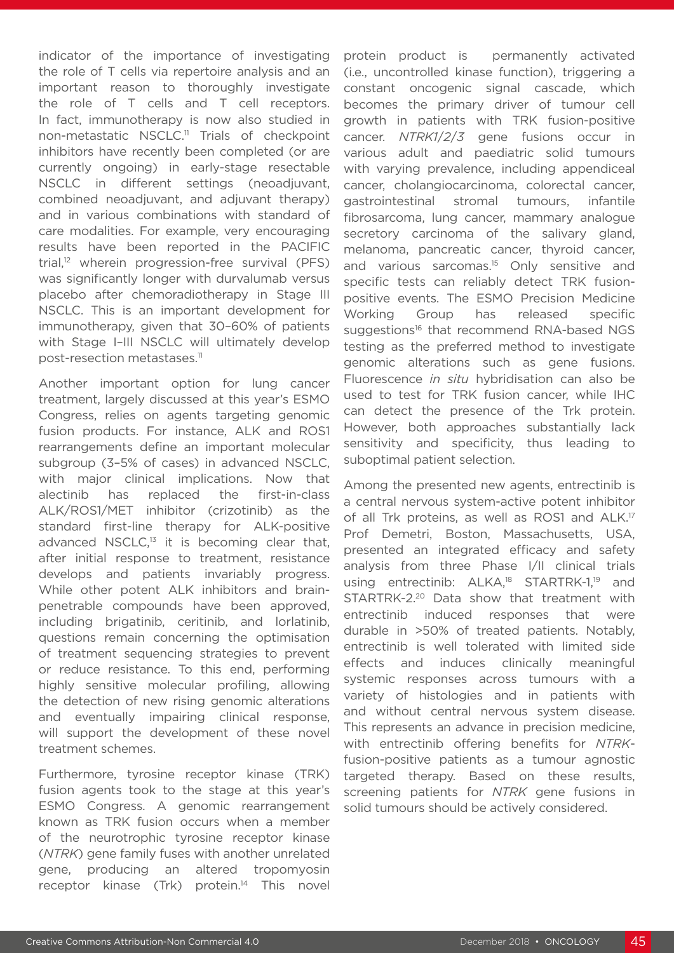indicator of the importance of investigating the role of T cells via repertoire analysis and an important reason to thoroughly investigate the role of T cells and T cell receptors. In fact, immunotherapy is now also studied in non-metastatic NSCLC.11 Trials of checkpoint inhibitors have recently been completed (or are currently ongoing) in early-stage resectable NSCLC in different settings (neoadjuvant, combined neoadjuvant, and adjuvant therapy) and in various combinations with standard of care modalities. For example, very encouraging results have been reported in the PACIFIC trial,<sup>12</sup> wherein progression-free survival (PFS) was significantly longer with durvalumab versus placebo after chemoradiotherapy in Stage III NSCLC. This is an important development for immunotherapy, given that 30–60% of patients with Stage I-III NSCLC will ultimately develop post-resection metastases.11

Another important option for lung cancer treatment, largely discussed at this year's ESMO Congress, relies on agents targeting genomic fusion products. For instance, ALK and ROS1 rearrangements define an important molecular subgroup (3–5% of cases) in advanced NSCLC, with major clinical implications. Now that alectinib has replaced the first-in-class ALK/ROS1/MET inhibitor (crizotinib) as the standard first-line therapy for ALK-positive advanced NSCLC,<sup>13</sup> it is becoming clear that, after initial response to treatment, resistance develops and patients invariably progress. While other potent ALK inhibitors and brainpenetrable compounds have been approved, including brigatinib, ceritinib, and lorlatinib, questions remain concerning the optimisation of treatment sequencing strategies to prevent or reduce resistance. To this end, performing highly sensitive molecular profiling, allowing the detection of new rising genomic alterations and eventually impairing clinical response, will support the development of these novel treatment schemes.

Furthermore, tyrosine receptor kinase (TRK) fusion agents took to the stage at this year's ESMO Congress. A genomic rearrangement known as TRK fusion occurs when a member of the neurotrophic tyrosine receptor kinase (*NTRK*) gene family fuses with another unrelated gene, producing an altered tropomyosin receptor kinase (Trk) protein.<sup>14</sup> This novel

protein product is permanently activated (i.e., uncontrolled kinase function), triggering a constant oncogenic signal cascade, which becomes the primary driver of tumour cell growth in patients with TRK fusion-positive cancer. *NTRK1*/*2*/*3* gene fusions occur in various adult and paediatric solid tumours with varying prevalence, including appendiceal cancer, cholangiocarcinoma, colorectal cancer, gastrointestinal stromal tumours, infantile fibrosarcoma, lung cancer, mammary analogue secretory carcinoma of the salivary gland, melanoma, pancreatic cancer, thyroid cancer, and various sarcomas.<sup>15</sup> Only sensitive and specific tests can reliably detect TRK fusionpositive events. The ESMO Precision Medicine Working Group has released specific suggestions<sup>16</sup> that recommend RNA-based NGS testing as the preferred method to investigate genomic alterations such as gene fusions. Fluorescence *in situ* hybridisation can also be used to test for TRK fusion cancer, while IHC can detect the presence of the Trk protein. However, both approaches substantially lack sensitivity and specificity, thus leading to suboptimal patient selection.

Among the presented new agents, entrectinib is a central nervous system-active potent inhibitor of all Trk proteins, as well as ROS1 and ALK.<sup>17</sup> Prof Demetri, Boston, Massachusetts, USA, presented an integrated efficacy and safety analysis from three Phase I/II clinical trials using entrectinib: ALKA,<sup>18</sup> STARTRK-1,<sup>19</sup> and STARTRK-2.20 Data show that treatment with entrectinib induced responses that were durable in >50% of treated patients. Notably, entrectinib is well tolerated with limited side effects and induces clinically meaningful systemic responses across tumours with a variety of histologies and in patients with and without central nervous system disease. This represents an advance in precision medicine, with entrectinib offering benefits for *NTRK*fusion-positive patients as a tumour agnostic targeted therapy. Based on these results, screening patients for *NTRK* gene fusions in solid tumours should be actively considered.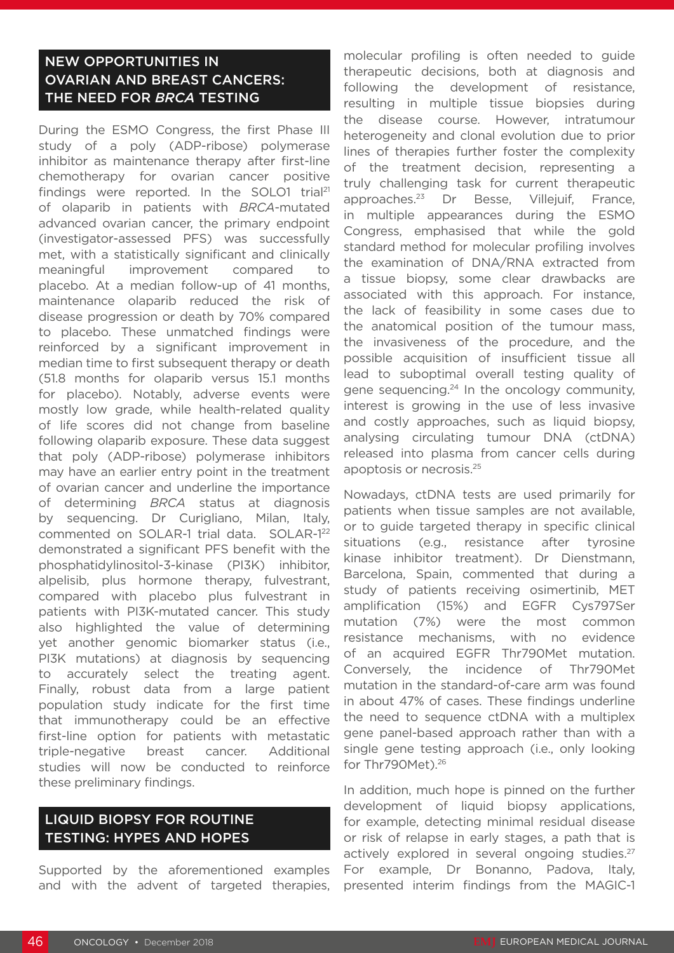### NEW OPPORTUNITIES IN OVARIAN AND BREAST CANCERS: THE NEED FOR *BRCA* TESTING

During the ESMO Congress, the first Phase III study of a poly (ADP-ribose) polymerase inhibitor as maintenance therapy after first-line chemotherapy for ovarian cancer positive findings were reported. In the SOLO1 trial<sup>21</sup> of olaparib in patients with *BRCA*-mutated advanced ovarian cancer, the primary endpoint (investigator-assessed PFS) was successfully met, with a statistically significant and clinically meaningful improvement compared to placebo. At a median follow-up of 41 months, maintenance olaparib reduced the risk of disease progression or death by 70% compared to placebo. These unmatched findings were reinforced by a significant improvement in median time to first subsequent therapy or death (51.8 months for olaparib versus 15.1 months for placebo). Notably, adverse events were mostly low grade, while health-related quality of life scores did not change from baseline following olaparib exposure. These data suggest that poly (ADP-ribose) polymerase inhibitors may have an earlier entry point in the treatment of ovarian cancer and underline the importance of determining *BRCA* status at diagnosis by sequencing. Dr Curigliano, Milan, Italy, commented on SOLAR-1 trial data. SOLAR-122 demonstrated a significant PFS benefit with the phosphatidylinositol-3-kinase (PI3K) inhibitor, alpelisib, plus hormone therapy, fulvestrant, compared with placebo plus fulvestrant in patients with PI3K-mutated cancer. This study also highlighted the value of determining yet another genomic biomarker status (i.e., PI3K mutations) at diagnosis by sequencing to accurately select the treating agent. Finally, robust data from a large patient population study indicate for the first time that immunotherapy could be an effective first-line option for patients with metastatic triple-negative breast cancer. Additional studies will now be conducted to reinforce these preliminary findings.

#### LIQUID BIOPSY FOR ROUTINE TESTING: HYPES AND HOPES

Supported by the aforementioned examples and with the advent of targeted therapies, molecular profiling is often needed to guide therapeutic decisions, both at diagnosis and following the development of resistance, resulting in multiple tissue biopsies during the disease course. However, intratumour heterogeneity and clonal evolution due to prior lines of therapies further foster the complexity of the treatment decision, representing a truly challenging task for current therapeutic approaches.23 Dr Besse, Villejuif, France, in multiple appearances during the ESMO Congress, emphasised that while the gold standard method for molecular profiling involves the examination of DNA/RNA extracted from a tissue biopsy, some clear drawbacks are associated with this approach. For instance, the lack of feasibility in some cases due to the anatomical position of the tumour mass, the invasiveness of the procedure, and the possible acquisition of insufficient tissue all lead to suboptimal overall testing quality of gene sequencing.<sup>24</sup> In the oncology community, interest is growing in the use of less invasive and costly approaches, such as liquid biopsy, analysing circulating tumour DNA (ctDNA) released into plasma from cancer cells during apoptosis or necrosis.25

Nowadays, ctDNA tests are used primarily for patients when tissue samples are not available, or to guide targeted therapy in specific clinical situations (e.g., resistance after tyrosine kinase inhibitor treatment). Dr Dienstmann, Barcelona, Spain, commented that during a study of patients receiving osimertinib, MET amplification (15%) and EGFR Cys797Ser mutation (7%) were the most common resistance mechanisms, with no evidence of an acquired EGFR Thr790Met mutation. Conversely, the incidence of Thr790Met mutation in the standard-of-care arm was found in about 47% of cases. These findings underline the need to sequence ctDNA with a multiplex gene panel-based approach rather than with a single gene testing approach (i.e., only looking for Thr790Met).26

In addition, much hope is pinned on the further development of liquid biopsy applications, for example, detecting minimal residual disease or risk of relapse in early stages, a path that is actively explored in several ongoing studies.<sup>27</sup> For example, Dr Bonanno, Padova, Italy, presented interim findings from the MAGIC-1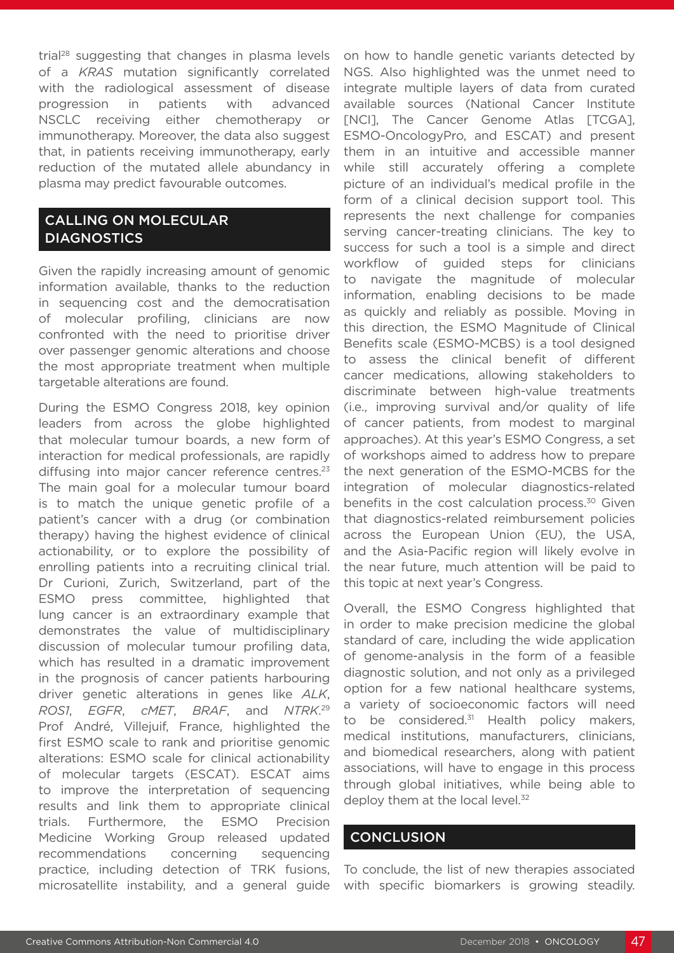trial<sup>28</sup> suggesting that changes in plasma levels of a *KRAS* mutation significantly correlated with the radiological assessment of disease progression in patients with advanced NSCLC receiving either chemotherapy or immunotherapy. Moreover, the data also suggest that, in patients receiving immunotherapy, early reduction of the mutated allele abundancy in plasma may predict favourable outcomes.

#### CALLING ON MOLECULAR DIAGNOSTICS

Given the rapidly increasing amount of genomic information available, thanks to the reduction in sequencing cost and the democratisation of molecular profiling, clinicians are now confronted with the need to prioritise driver over passenger genomic alterations and choose the most appropriate treatment when multiple targetable alterations are found.

During the ESMO Congress 2018, key opinion leaders from across the globe highlighted that molecular tumour boards, a new form of interaction for medical professionals, are rapidly diffusing into major cancer reference centres.<sup>23</sup> The main goal for a molecular tumour board is to match the unique genetic profile of a patient's cancer with a drug (or combination therapy) having the highest evidence of clinical actionability, or to explore the possibility of enrolling patients into a recruiting clinical trial. Dr Curioni, Zurich, Switzerland, part of the ESMO press committee, highlighted that lung cancer is an extraordinary example that demonstrates the value of multidisciplinary discussion of molecular tumour profiling data, which has resulted in a dramatic improvement in the prognosis of cancer patients harbouring driver genetic alterations in genes like *ALK*, *ROS1*, *EGFR*, *cMET*, *BRAF*, and *NTRK*. 29 Prof André, Villejuif, France, highlighted the first ESMO scale to rank and prioritise genomic alterations: ESMO scale for clinical actionability of molecular targets (ESCAT). ESCAT aims to improve the interpretation of sequencing results and link them to appropriate clinical trials. Furthermore, the ESMO Precision Medicine Working Group released updated recommendations concerning sequencing practice, including detection of TRK fusions, microsatellite instability, and a general guide

on how to handle genetic variants detected by NGS. Also highlighted was the unmet need to integrate multiple layers of data from curated available sources (National Cancer Institute [NCI], The Cancer Genome Atlas [TCGA], ESMO-OncologyPro, and ESCAT) and present them in an intuitive and accessible manner while still accurately offering a complete picture of an individual's medical profile in the form of a clinical decision support tool. This represents the next challenge for companies serving cancer-treating clinicians. The key to success for such a tool is a simple and direct workflow of guided steps for clinicians to navigate the magnitude of molecular information, enabling decisions to be made as quickly and reliably as possible. Moving in this direction, the ESMO Magnitude of Clinical Benefits scale (ESMO-MCBS) is a tool designed to assess the clinical benefit of different cancer medications, allowing stakeholders to discriminate between high-value treatments (i.e., improving survival and/or quality of life of cancer patients, from modest to marginal approaches). At this year's ESMO Congress, a set of workshops aimed to address how to prepare the next generation of the ESMO-MCBS for the integration of molecular diagnostics-related benefits in the cost calculation process.<sup>30</sup> Given that diagnostics-related reimbursement policies across the European Union (EU), the USA, and the Asia-Pacific region will likely evolve in the near future, much attention will be paid to this topic at next year's Congress.

Overall, the ESMO Congress highlighted that in order to make precision medicine the global standard of care, including the wide application of genome-analysis in the form of a feasible diagnostic solution, and not only as a privileged option for a few national healthcare systems, a variety of socioeconomic factors will need to be considered. $31$  Health policy makers, medical institutions, manufacturers, clinicians, and biomedical researchers, along with patient associations, will have to engage in this process through global initiatives, while being able to deploy them at the local level.<sup>32</sup>

#### **CONCLUSION**

To conclude, the list of new therapies associated with specific biomarkers is growing steadily.